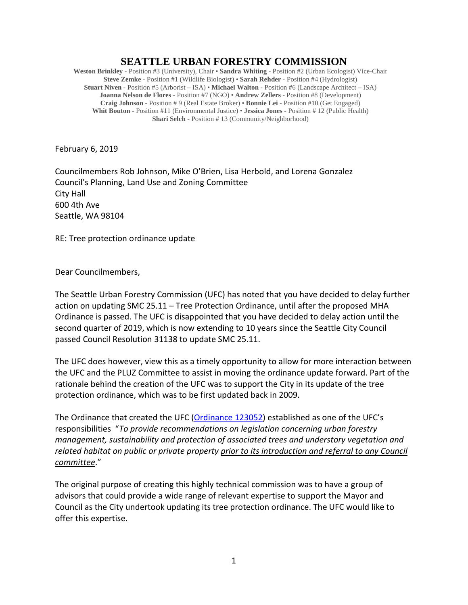## **SEATTLE URBAN FORESTRY COMMISSION**

**Weston Brinkley** - Position #3 (University), Chair • **Sandra Whiting** - Position #2 (Urban Ecologist) Vice-Chair **Steve Zemke** - Position #1 (Wildlife Biologist) • **Sarah Rehder** - Position #4 (Hydrologist) **Stuart Niven** - Position #5 (Arborist – ISA) • **Michael Walton** - Position #6 (Landscape Architect – ISA) **Joanna Nelson de Flores** - Position #7 (NGO) • **Andrew Zellers** - Position #8 (Development) **Craig Johnson** - Position # 9 (Real Estate Broker) • **Bonnie Lei** - Position #10 (Get Engaged) **Whit Bouton** - Position #11 (Environmental Justice) • **Jessica Jones** - Position # 12 (Public Health) **Shari Selch** - Position # 13 (Community/Neighborhood)

February 6, 2019

Councilmembers Rob Johnson, Mike O'Brien, Lisa Herbold, and Lorena Gonzalez Council's Planning, Land Use and Zoning Committee City Hall 600 4th Ave Seattle, WA 98104

RE: Tree protection ordinance update

Dear Councilmembers,

The Seattle Urban Forestry Commission (UFC) has noted that you have decided to delay further action on updating SMC 25.11 – Tree Protection Ordinance, until after the proposed MHA Ordinance is passed. The UFC is disappointed that you have decided to delay action until the second quarter of 2019, which is now extending to 10 years since the Seattle City Council passed Council Resolution 31138 to update SMC 25.11.

The UFC does however, view this as a timely opportunity to allow for more interaction between the UFC and the PLUZ Committee to assist in moving the ordinance update forward. Part of the rationale behind the creation of the UFC was to support the City in its update of the tree protection ordinance, which was to be first updated back in 2009.

The Ordinance that created the UFC [\(Ordinance 123052\)](http://clerk.ci.seattle.wa.us/search/results?s1=&s3=&s4=123052&s2=&s5=&Sect4=AND&l=20&Sect2=THESON&Sect3=PLURON&Sect5=CBORY&Sect6=HITOFF&d=ORDF&p=1&u=%2F%7Epublic%2Fcbory.htm&r=1&f=G) established as one of the UFC's responsibilities "*To provide recommendations on legislation concerning urban forestry management, sustainability and protection of associated trees and understory vegetation and related habitat on public or private property prior to its introduction and referral to any Council committee*."

The original purpose of creating this highly technical commission was to have a group of advisors that could provide a wide range of relevant expertise to support the Mayor and Council as the City undertook updating its tree protection ordinance. The UFC would like to offer this expertise.